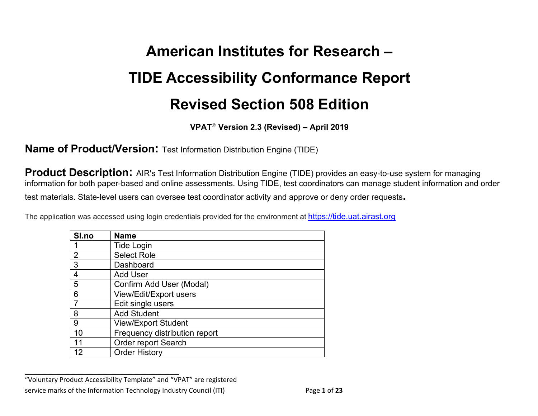# **American Institutes for Research – Revised Section 508 Edition TIDE Accessibility Conformance Report**

 **VPAT**® **Version 2.3 (Revised) – April 2019** 

**Name of Product/Version:** Test Information Distribution Engine (TIDE)

**Product Description:** AIR's Test Information Distribution Engine (TIDE) provides an easy-to-use system for managing information for both paper-based and online assessments. Using TIDE, test coordinators can manage student information and order test materials. State-level users can oversee test coordinator activity and approve or deny order requests**.** 

The application was accessed using login credentials provided for the environment at <https://tide.uat.airast.org>

| Sl.no           | <b>Name</b>                   |
|-----------------|-------------------------------|
|                 | <b>Tide Login</b>             |
| 2               | <b>Select Role</b>            |
| $\mathbf{3}$    | Dashboard                     |
| $\overline{4}$  | <b>Add User</b>               |
| 5               | Confirm Add User (Modal)      |
| $6\phantom{1}6$ | View/Edit/Export users        |
| 7               | Edit single users             |
| 8               | <b>Add Student</b>            |
| 9               | <b>View/Export Student</b>    |
| 10              | Frequency distribution report |
| 11              | Order report Search           |
| 12              | <b>Order History</b>          |

 "Voluntary Product Accessibility Template" and "VPAT" are registered service marks of the Information Technology Industry Council (ITI) Page **1** of **23**

**\_\_\_\_\_\_\_\_\_\_\_\_\_\_\_\_\_\_\_\_\_\_\_\_\_\_\_\_\_\_\_\_\_\_**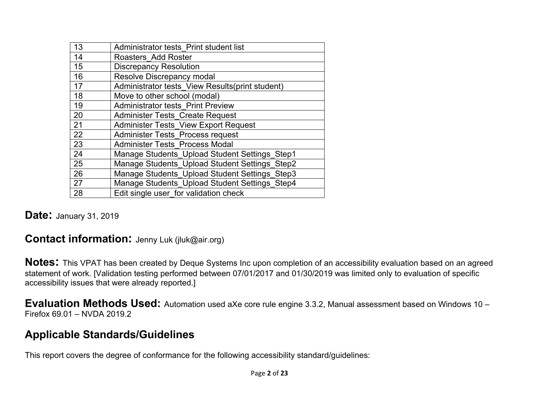| 13 | Administrator tests Print student list          |
|----|-------------------------------------------------|
| 14 | Roasters Add Roster                             |
| 15 | <b>Discrepancy Resolution</b>                   |
| 16 | Resolve Discrepancy modal                       |
| 17 | Administrator tests View Results(print student) |
| 18 | Move to other school (modal)                    |
| 19 | <b>Administrator tests Print Preview</b>        |
| 20 | <b>Administer Tests Create Request</b>          |
| 21 | <b>Administer Tests View Export Request</b>     |
| 22 | <b>Administer Tests Process request</b>         |
| 23 | <b>Administer Tests Process Modal</b>           |
| 24 | Manage Students Upload Student Settings Step1   |
| 25 | Manage Students Upload Student Settings Step2   |
| 26 | Manage Students Upload Student Settings Step3   |
| 27 | Manage Students Upload Student Settings Step4   |
| 28 | Edit single user for validation check           |

#### **Date:** January 31, 2019

#### **Contact information:** Jenny Luk ([jluk@air.org\)](mailto:jluk@air.org)

 **Notes:** This VPAT has been created by Deque Systems Inc upon completion of an accessibility evaluation based on an agreed statement of work. [Validation testing performed between 07/01/2017 and 01/30/2019 was limited only to evaluation of specific accessibility issues that were already reported.]

 **Evaluation Methods Used:** Automation used aXe core rule engine 3.3.2, Manual assessment based on Windows 10 – Firefox 69.01 – NVDA 2019.2

#### **Applicable Standards/Guidelines**

This report covers the degree of conformance for the following accessibility standard/guidelines: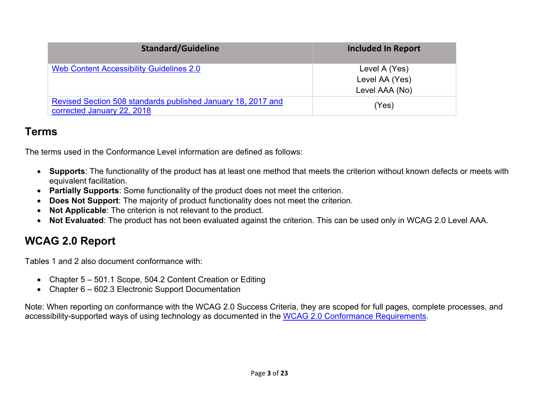| <b>Standard/Guideline</b>                                                                  | <b>Included In Report</b>                         |
|--------------------------------------------------------------------------------------------|---------------------------------------------------|
| Web Content Accessibility Guidelines 2.0                                                   | Level A (Yes)<br>Level AA (Yes)<br>Level AAA (No) |
| Revised Section 508 standards published January 18, 2017 and<br>corrected January 22, 2018 | (Yes)                                             |

#### **Terms**

The terms used in the Conformance Level information are defined as follows:

- • **Supports**: The functionality of the product has at least one method that meets the criterion without known defects or meets with equivalent facilitation.
- **Partially Supports**: Some functionality of the product does not meet the criterion.
- **Does Not Support**: The majority of product functionality does not meet the criterion.
- **Not Applicable**: The criterion is not relevant to the product.
- **Not Evaluated**: The product has not been evaluated against the criterion. This can be used only in WCAG 2.0 Level AAA.

### **WCAG 2.0 Report**

Tables 1 and 2 also document conformance with:

- Chapter 5 501.1 Scope, 504.2 Content Creation or Editing
- Chapter 6 602.3 Electronic Support Documentation

 Note: When reporting on conformance with the WCAG 2.0 Success Criteria, they are scoped for full pages, complete processes, and accessibility-supported ways of using technology as documented in the WCAG 2.0 Conformance Requirements.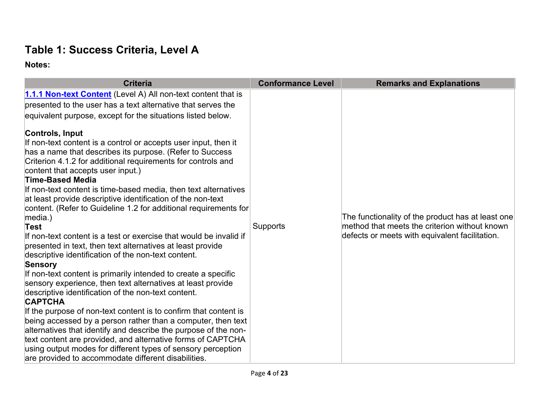## **Table 1: Success Criteria, Level A**

| <b>Criteria</b>                                                                                                                                                                                                                                                                                                                                                                                                                                                                                                                                                                                                                                                                                                                                                                                                                                                                                                                                                                                                                                | <b>Conformance Level</b> | <b>Remarks and Explanations</b>                                                                                                                      |
|------------------------------------------------------------------------------------------------------------------------------------------------------------------------------------------------------------------------------------------------------------------------------------------------------------------------------------------------------------------------------------------------------------------------------------------------------------------------------------------------------------------------------------------------------------------------------------------------------------------------------------------------------------------------------------------------------------------------------------------------------------------------------------------------------------------------------------------------------------------------------------------------------------------------------------------------------------------------------------------------------------------------------------------------|--------------------------|------------------------------------------------------------------------------------------------------------------------------------------------------|
| 1.1.1 Non-text Content (Level A) All non-text content that is<br>presented to the user has a text alternative that serves the<br>equivalent purpose, except for the situations listed below.<br>Controls, Input<br>If non-text content is a control or accepts user input, then it<br>has a name that describes its purpose. (Refer to Success<br>Criterion 4.1.2 for additional requirements for controls and<br>content that accepts user input.)<br>Time-Based Media<br>If non-text content is time-based media, then text alternatives<br>at least provide descriptive identification of the non-text<br>content. (Refer to Guideline 1.2 for additional requirements for<br>$ $ media. $ $<br>Test<br>If non-text content is a test or exercise that would be invalid if<br>presented in text, then text alternatives at least provide<br>descriptive identification of the non-text content.<br>Sensory<br>If non-text content is primarily intended to create a specific<br>sensory experience, then text alternatives at least provide | Supports                 | The functionality of the product has at least one<br>method that meets the criterion without known<br>defects or meets with equivalent facilitation. |
| descriptive identification of the non-text content.<br><b>CAPTCHA</b>                                                                                                                                                                                                                                                                                                                                                                                                                                                                                                                                                                                                                                                                                                                                                                                                                                                                                                                                                                          |                          |                                                                                                                                                      |
| If the purpose of non-text content is to confirm that content is<br>being accessed by a person rather than a computer, then text<br>alternatives that identify and describe the purpose of the non-<br>text content are provided, and alternative forms of CAPTCHA<br>using output modes for different types of sensory perception<br>are provided to accommodate different disabilities.                                                                                                                                                                                                                                                                                                                                                                                                                                                                                                                                                                                                                                                      |                          |                                                                                                                                                      |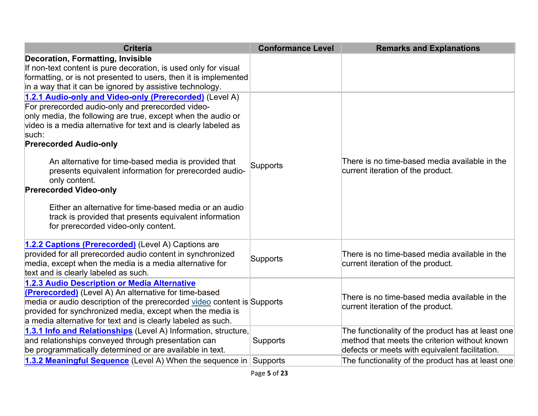| <b>Criteria</b>                                                                                                                                                                                                                                                                                                                                                                                                                                                                                                                                                                                                          | <b>Conformance Level</b> | <b>Remarks and Explanations</b>                                                                                                                      |
|--------------------------------------------------------------------------------------------------------------------------------------------------------------------------------------------------------------------------------------------------------------------------------------------------------------------------------------------------------------------------------------------------------------------------------------------------------------------------------------------------------------------------------------------------------------------------------------------------------------------------|--------------------------|------------------------------------------------------------------------------------------------------------------------------------------------------|
| <b>Decoration, Formatting, Invisible</b><br>If non-text content is pure decoration, is used only for visual<br>formatting, or is not presented to users, then it is implemented<br>in a way that it can be ignored by assistive technology.                                                                                                                                                                                                                                                                                                                                                                              |                          |                                                                                                                                                      |
| 1.2.1 Audio-only and Video-only (Prerecorded) (Level A)<br>For prerecorded audio-only and prerecorded video-<br>only media, the following are true, except when the audio or<br>video is a media alternative for text and is clearly labeled as<br>such:<br><b>Prerecorded Audio-only</b><br>An alternative for time-based media is provided that<br>presents equivalent information for prerecorded audio-<br>only content.<br><b>Prerecorded Video-only</b><br>Either an alternative for time-based media or an audio<br>track is provided that presents equivalent information<br>for prerecorded video-only content. | Supports                 | There is no time-based media available in the<br>current iteration of the product.                                                                   |
| 1.2.2 Captions (Prerecorded) (Level A) Captions are<br>provided for all prerecorded audio content in synchronized<br>media, except when the media is a media alternative for<br>text and is clearly labeled as such.                                                                                                                                                                                                                                                                                                                                                                                                     | <b>Supports</b>          | There is no time-based media available in the<br>current iteration of the product.                                                                   |
| 1.2.3 Audio Description or Media Alternative<br>(Prerecorded) (Level A) An alternative for time-based<br>media or audio description of the prerecorded video content is Supports<br>provided for synchronized media, except when the media is<br>a media alternative for text and is clearly labeled as such.                                                                                                                                                                                                                                                                                                            |                          | There is no time-based media available in the<br>current iteration of the product.                                                                   |
| 1.3.1 Info and Relationships (Level A) Information, structure,<br>and relationships conveyed through presentation can<br>be programmatically determined or are available in text.                                                                                                                                                                                                                                                                                                                                                                                                                                        | <b>Supports</b>          | The functionality of the product has at least one<br>method that meets the criterion without known<br>defects or meets with equivalent facilitation. |
| 1.3.2 Meaningful Sequence (Level A) When the sequence in Supports                                                                                                                                                                                                                                                                                                                                                                                                                                                                                                                                                        |                          | The functionality of the product has at least one                                                                                                    |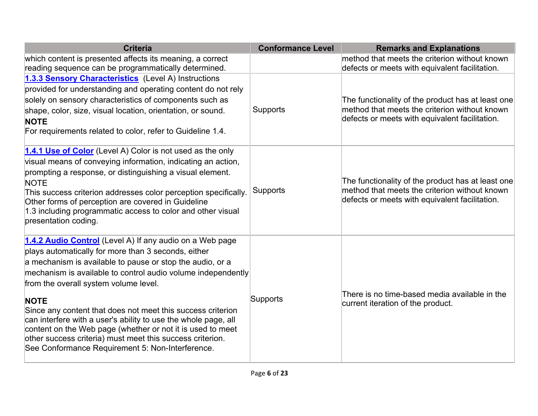| <b>Criteria</b>                                                                                                                                                                                                                                                                                                                                                                                                                                                                                                                                                                                                      | <b>Conformance Level</b> | <b>Remarks and Explanations</b>                                                                                                                      |
|----------------------------------------------------------------------------------------------------------------------------------------------------------------------------------------------------------------------------------------------------------------------------------------------------------------------------------------------------------------------------------------------------------------------------------------------------------------------------------------------------------------------------------------------------------------------------------------------------------------------|--------------------------|------------------------------------------------------------------------------------------------------------------------------------------------------|
| which content is presented affects its meaning, a correct<br>reading sequence can be programmatically determined.                                                                                                                                                                                                                                                                                                                                                                                                                                                                                                    |                          | method that meets the criterion without known<br>defects or meets with equivalent facilitation.                                                      |
| 1.3.3 Sensory Characteristics (Level A) Instructions<br>provided for understanding and operating content do not rely<br>solely on sensory characteristics of components such as<br>shape, color, size, visual location, orientation, or sound.<br><b>NOTE</b><br>For requirements related to color, refer to Guideline 1.4.                                                                                                                                                                                                                                                                                          | Supports                 | The functionality of the product has at least one<br>method that meets the criterion without known<br>defects or meets with equivalent facilitation. |
| 1.4.1 Use of Color (Level A) Color is not used as the only<br>visual means of conveying information, indicating an action,<br>prompting a response, or distinguishing a visual element.<br><b>NOTE</b><br>This success criterion addresses color perception specifically.<br>Other forms of perception are covered in Guideline<br>1.3 including programmatic access to color and other visual<br>presentation coding.                                                                                                                                                                                               | <b>Supports</b>          | The functionality of the product has at least one<br>method that meets the criterion without known<br>defects or meets with equivalent facilitation. |
| 1.4.2 Audio Control (Level A) If any audio on a Web page<br>plays automatically for more than 3 seconds, either<br>a mechanism is available to pause or stop the audio, or a<br>mechanism is available to control audio volume independently<br>from the overall system volume level.<br><b>NOTE</b><br>Since any content that does not meet this success criterion<br>can interfere with a user's ability to use the whole page, all<br>content on the Web page (whether or not it is used to meet<br>other success criteria) must meet this success criterion.<br>See Conformance Requirement 5: Non-Interference. | Supports                 | There is no time-based media available in the<br>current iteration of the product.                                                                   |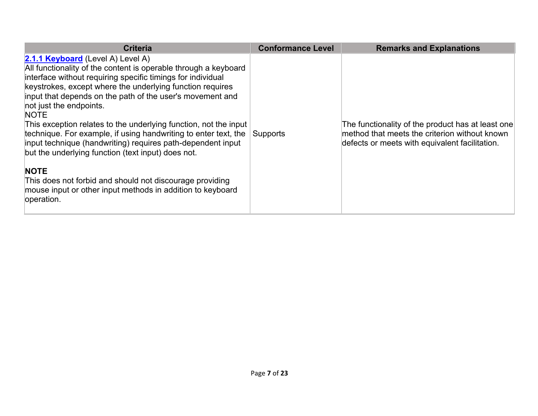| <b>Criteria</b>                                                                                                                                                                                                                                                                                                                                                                                                                                                                                                                                                                                                                                                                                                                                            | <b>Conformance Level</b> | <b>Remarks and Explanations</b>                                                                                                                      |
|------------------------------------------------------------------------------------------------------------------------------------------------------------------------------------------------------------------------------------------------------------------------------------------------------------------------------------------------------------------------------------------------------------------------------------------------------------------------------------------------------------------------------------------------------------------------------------------------------------------------------------------------------------------------------------------------------------------------------------------------------------|--------------------------|------------------------------------------------------------------------------------------------------------------------------------------------------|
| 2.1.1 Keyboard (Level A) Level A)<br>All functionality of the content is operable through a keyboard<br>interface without requiring specific timings for individual<br>keystrokes, except where the underlying function requires<br>input that depends on the path of the user's movement and<br>not just the endpoints.<br><b>NOTE</b><br>This exception relates to the underlying function, not the input<br>technique. For example, if using handwriting to enter text, the<br>input technique (handwriting) requires path-dependent input<br>but the underlying function (text input) does not.<br><b>NOTE</b><br>This does not forbid and should not discourage providing<br>mouse input or other input methods in addition to keyboard<br>operation. | Supports                 | The functionality of the product has at least one<br>method that meets the criterion without known<br>defects or meets with equivalent facilitation. |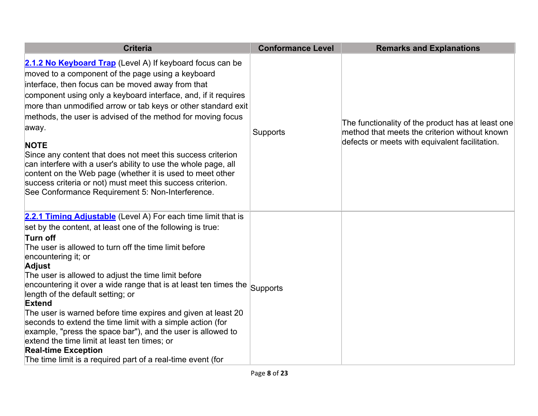| <b>Criteria</b>                                                                                                                                                                                                                                                                                                                                                                                                                                                                                                                                                                                                                                                                                                                                                                      | <b>Conformance Level</b> | <b>Remarks and Explanations</b>                                                                                                                      |
|--------------------------------------------------------------------------------------------------------------------------------------------------------------------------------------------------------------------------------------------------------------------------------------------------------------------------------------------------------------------------------------------------------------------------------------------------------------------------------------------------------------------------------------------------------------------------------------------------------------------------------------------------------------------------------------------------------------------------------------------------------------------------------------|--------------------------|------------------------------------------------------------------------------------------------------------------------------------------------------|
| 2.1.2 No Keyboard Trap (Level A) If keyboard focus can be<br>moved to a component of the page using a keyboard<br>interface, then focus can be moved away from that<br>component using only a keyboard interface, and, if it requires<br>more than unmodified arrow or tab keys or other standard exit<br>methods, the user is advised of the method for moving focus<br>away.<br><b>NOTE</b><br>Since any content that does not meet this success criterion<br>can interfere with a user's ability to use the whole page, all<br>content on the Web page (whether it is used to meet other<br>success criteria or not) must meet this success criterion.<br>See Conformance Requirement 5: Non-Interference.                                                                        | Supports                 | The functionality of the product has at least one<br>method that meets the criterion without known<br>defects or meets with equivalent facilitation. |
| 2.2.1 Timing Adjustable (Level A) For each time limit that is<br>set by the content, at least one of the following is true:<br>Turn off<br>The user is allowed to turn off the time limit before<br>encountering it; or<br><b>Adjust</b><br>The user is allowed to adjust the time limit before<br>encountering it over a wide range that is at least ten times the $ _{\mathbf{Supports}}$<br>length of the default setting; or<br>Extend<br>The user is warned before time expires and given at least 20<br>seconds to extend the time limit with a simple action (for<br>example, "press the space bar"), and the user is allowed to<br>extend the time limit at least ten times; or<br><b>Real-time Exception</b><br>The time limit is a required part of a real-time event (for |                          |                                                                                                                                                      |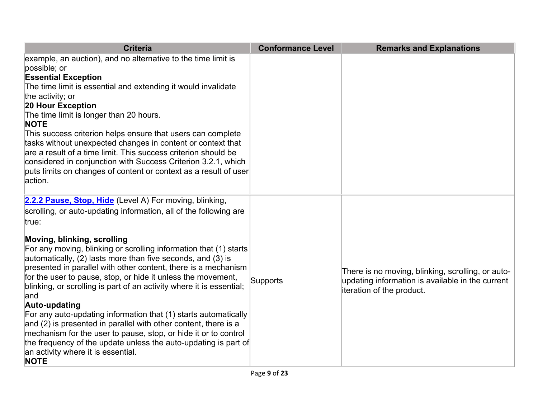| <b>Criteria</b>                                                                                                                                                 | <b>Conformance Level</b> | <b>Remarks and Explanations</b>                                                                       |
|-----------------------------------------------------------------------------------------------------------------------------------------------------------------|--------------------------|-------------------------------------------------------------------------------------------------------|
| example, an auction), and no alternative to the time limit is<br>possible; or                                                                                   |                          |                                                                                                       |
| <b>Essential Exception</b>                                                                                                                                      |                          |                                                                                                       |
| The time limit is essential and extending it would invalidate                                                                                                   |                          |                                                                                                       |
| the activity; or                                                                                                                                                |                          |                                                                                                       |
| 20 Hour Exception                                                                                                                                               |                          |                                                                                                       |
| The time limit is longer than 20 hours.<br><b>NOTE</b>                                                                                                          |                          |                                                                                                       |
| This success criterion helps ensure that users can complete                                                                                                     |                          |                                                                                                       |
| tasks without unexpected changes in content or context that                                                                                                     |                          |                                                                                                       |
| are a result of a time limit. This success criterion should be                                                                                                  |                          |                                                                                                       |
| considered in conjunction with Success Criterion 3.2.1, which                                                                                                   |                          |                                                                                                       |
| puts limits on changes of content or context as a result of user                                                                                                |                          |                                                                                                       |
| action.                                                                                                                                                         |                          |                                                                                                       |
| 2.2.2 Pause, Stop, Hide (Level A) For moving, blinking,                                                                                                         |                          |                                                                                                       |
| scrolling, or auto-updating information, all of the following are                                                                                               |                          |                                                                                                       |
| true:                                                                                                                                                           |                          |                                                                                                       |
| Moving, blinking, scrolling<br>For any moving, blinking or scrolling information that (1) starts<br>automatically, (2) lasts more than five seconds, and (3) is |                          |                                                                                                       |
| presented in parallel with other content, there is a mechanism                                                                                                  |                          |                                                                                                       |
| for the user to pause, stop, or hide it unless the movement,                                                                                                    | Supports                 | There is no moving, blinking, scrolling, or auto-<br>updating information is available in the current |
| blinking, or scrolling is part of an activity where it is essential;                                                                                            |                          | iteration of the product.                                                                             |
| and                                                                                                                                                             |                          |                                                                                                       |
| Auto-updating                                                                                                                                                   |                          |                                                                                                       |
| For any auto-updating information that (1) starts automatically                                                                                                 |                          |                                                                                                       |
| and (2) is presented in parallel with other content, there is a                                                                                                 |                          |                                                                                                       |
| mechanism for the user to pause, stop, or hide it or to control                                                                                                 |                          |                                                                                                       |
| the frequency of the update unless the auto-updating is part of<br>an activity where it is essential.<br><b>NOTE</b>                                            |                          |                                                                                                       |
|                                                                                                                                                                 |                          |                                                                                                       |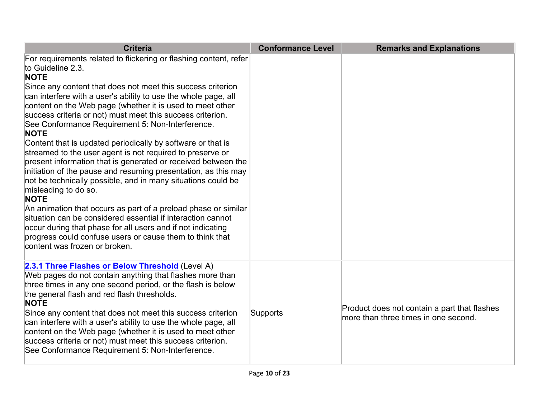| <b>Criteria</b>                                                                                                                                                                                                                                                                                                                                                                                                                                                                                                                                                                                                                                                                                                                                                                                                                                                                                                                                                                                                                                                                                         | <b>Conformance Level</b> | <b>Remarks and Explanations</b>                                                      |
|---------------------------------------------------------------------------------------------------------------------------------------------------------------------------------------------------------------------------------------------------------------------------------------------------------------------------------------------------------------------------------------------------------------------------------------------------------------------------------------------------------------------------------------------------------------------------------------------------------------------------------------------------------------------------------------------------------------------------------------------------------------------------------------------------------------------------------------------------------------------------------------------------------------------------------------------------------------------------------------------------------------------------------------------------------------------------------------------------------|--------------------------|--------------------------------------------------------------------------------------|
| For requirements related to flickering or flashing content, refer<br>to Guideline 2.3.<br><b>NOTE</b><br>Since any content that does not meet this success criterion<br>can interfere with a user's ability to use the whole page, all<br>content on the Web page (whether it is used to meet other<br>success criteria or not) must meet this success criterion.<br>See Conformance Requirement 5: Non-Interference.<br><b>NOTE</b><br>Content that is updated periodically by software or that is<br>streamed to the user agent is not required to preserve or<br>present information that is generated or received between the<br>initiation of the pause and resuming presentation, as this may<br>not be technically possible, and in many situations could be<br>misleading to do so.<br><b>NOTE</b><br>An animation that occurs as part of a preload phase or similar<br>situation can be considered essential if interaction cannot<br>occur during that phase for all users and if not indicating<br>progress could confuse users or cause them to think that<br>content was frozen or broken. |                          |                                                                                      |
| 2.3.1 Three Flashes or Below Threshold (Level A)<br>Web pages do not contain anything that flashes more than<br>three times in any one second period, or the flash is below<br>the general flash and red flash thresholds.<br><b>NOTE</b><br>Since any content that does not meet this success criterion<br>can interfere with a user's ability to use the whole page, all<br>content on the Web page (whether it is used to meet other<br>success criteria or not) must meet this success criterion.<br>See Conformance Requirement 5: Non-Interference.                                                                                                                                                                                                                                                                                                                                                                                                                                                                                                                                               | Supports                 | Product does not contain a part that flashes<br>more than three times in one second. |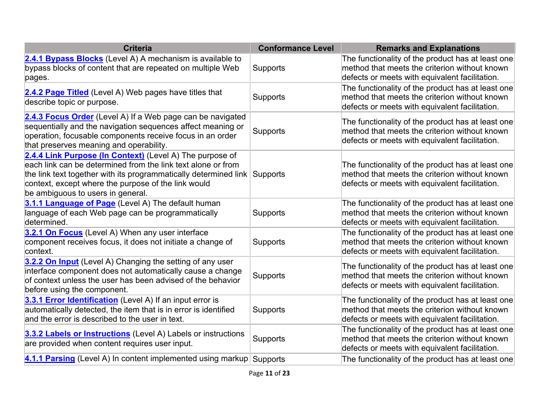| <b>Criteria</b>                                                                                                                                                                                                                                                                                   | <b>Conformance Level</b> | <b>Remarks and Explanations</b>                                                                                                                      |
|---------------------------------------------------------------------------------------------------------------------------------------------------------------------------------------------------------------------------------------------------------------------------------------------------|--------------------------|------------------------------------------------------------------------------------------------------------------------------------------------------|
| 2.4.1 Bypass Blocks (Level A) A mechanism is available to<br>bypass blocks of content that are repeated on multiple Web<br>pages.                                                                                                                                                                 | Supports                 | The functionality of the product has at least one<br>method that meets the criterion without known<br>defects or meets with equivalent facilitation. |
| 2.4.2 Page Titled (Level A) Web pages have titles that<br>describe topic or purpose.                                                                                                                                                                                                              | Supports                 | The functionality of the product has at least one<br>method that meets the criterion without known<br>defects or meets with equivalent facilitation. |
| 2.4.3 Focus Order (Level A) If a Web page can be navigated<br>sequentially and the navigation sequences affect meaning or<br>operation, focusable components receive focus in an order<br>that preserves meaning and operability.                                                                 | Supports                 | The functionality of the product has at least one<br>method that meets the criterion without known<br>defects or meets with equivalent facilitation. |
| 2.4.4 Link Purpose (In Context) (Level A) The purpose of<br>each link can be determined from the link text alone or from<br>the link text together with its programmatically determined link Supports<br>context, except where the purpose of the link would<br>be ambiguous to users in general. |                          | The functionality of the product has at least one<br>method that meets the criterion without known<br>defects or meets with equivalent facilitation. |
| 3.1.1 Language of Page (Level A) The default human<br>language of each Web page can be programmatically<br>determined.                                                                                                                                                                            | Supports                 | The functionality of the product has at least one<br>method that meets the criterion without known<br>defects or meets with equivalent facilitation. |
| 3.2.1 On Focus (Level A) When any user interface<br>component receives focus, it does not initiate a change of<br>context.                                                                                                                                                                        | Supports                 | The functionality of the product has at least one<br>method that meets the criterion without known<br>defects or meets with equivalent facilitation. |
| 3.2.2 On Input (Level A) Changing the setting of any user<br>interface component does not automatically cause a change<br>of context unless the user has been advised of the behavior<br>before using the component.                                                                              | Supports                 | The functionality of the product has at least one<br>method that meets the criterion without known<br>defects or meets with equivalent facilitation. |
| 3.3.1 Error Identification (Level A) If an input error is<br>automatically detected, the item that is in error is identified<br>and the error is described to the user in text.                                                                                                                   | Supports                 | The functionality of the product has at least one<br>method that meets the criterion without known<br>defects or meets with equivalent facilitation. |
| 3.3.2 Labels or Instructions (Level A) Labels or instructions<br>are provided when content requires user input.                                                                                                                                                                                   | Supports                 | The functionality of the product has at least one<br>method that meets the criterion without known<br>defects or meets with equivalent facilitation. |
| 4.1.1 Parsing (Level A) In content implemented using markup Supports                                                                                                                                                                                                                              |                          | The functionality of the product has at least one                                                                                                    |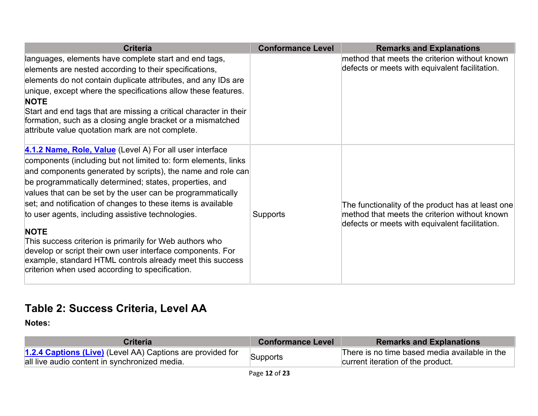| <b>Criteria</b>                                                                                                                                                                                                                                                                                                                                                                                                                                                                                                                                                                                                                                                                                 | <b>Conformance Level</b> | <b>Remarks and Explanations</b>                                                                                                                      |
|-------------------------------------------------------------------------------------------------------------------------------------------------------------------------------------------------------------------------------------------------------------------------------------------------------------------------------------------------------------------------------------------------------------------------------------------------------------------------------------------------------------------------------------------------------------------------------------------------------------------------------------------------------------------------------------------------|--------------------------|------------------------------------------------------------------------------------------------------------------------------------------------------|
| languages, elements have complete start and end tags,<br>elements are nested according to their specifications,<br>elements do not contain duplicate attributes, and any IDs are<br>unique, except where the specifications allow these features.<br><b>NOTE</b><br>Start and end tags that are missing a critical character in their<br>formation, such as a closing angle bracket or a mismatched<br>attribute value quotation mark are not complete.                                                                                                                                                                                                                                         |                          | method that meets the criterion without known<br>defects or meets with equivalent facilitation.                                                      |
| 4.1.2 Name, Role, Value (Level A) For all user interface<br>components (including but not limited to: form elements, links<br>and components generated by scripts), the name and role can<br>be programmatically determined; states, properties, and<br>values that can be set by the user can be programmatically<br>set; and notification of changes to these items is available<br>to user agents, including assistive technologies.<br><b>NOTE</b><br>This success criterion is primarily for Web authors who<br>develop or script their own user interface components. For<br>example, standard HTML controls already meet this success<br>criterion when used according to specification. | Supports                 | The functionality of the product has at least one<br>method that meets the criterion without known<br>defects or meets with equivalent facilitation. |

#### **Table 2: Success Criteria, Level AA**

| Criterial                                                                                                   | <b>Conformance Level</b> | <b>Remarks and Explanations</b>                                                    |
|-------------------------------------------------------------------------------------------------------------|--------------------------|------------------------------------------------------------------------------------|
| 1.2.4 Captions (Live) (Level AA) Captions are provided for<br>all live audio content in synchronized media. | Supports                 | There is no time based media available in the<br>current iteration of the product. |
|                                                                                                             |                          |                                                                                    |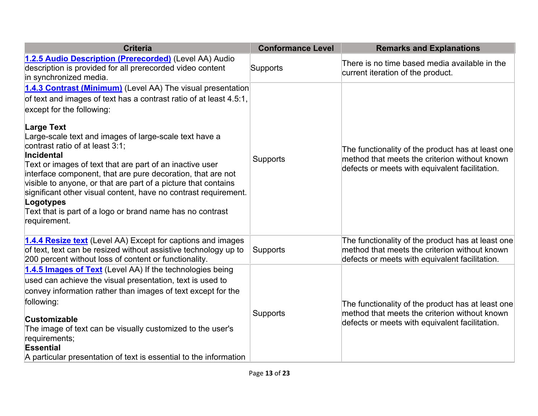| <b>Criteria</b>                                                                                                                                                                                                                                                                                                                                                                                                                                                                                                                                                                                                                                                 | <b>Conformance Level</b> | <b>Remarks and Explanations</b>                                                                                                                      |
|-----------------------------------------------------------------------------------------------------------------------------------------------------------------------------------------------------------------------------------------------------------------------------------------------------------------------------------------------------------------------------------------------------------------------------------------------------------------------------------------------------------------------------------------------------------------------------------------------------------------------------------------------------------------|--------------------------|------------------------------------------------------------------------------------------------------------------------------------------------------|
| 1.2.5 Audio Description (Prerecorded) (Level AA) Audio<br>description is provided for all prerecorded video content<br>in synchronized media.                                                                                                                                                                                                                                                                                                                                                                                                                                                                                                                   | Supports                 | There is no time based media available in the<br>current iteration of the product.                                                                   |
| 1.4.3 Contrast (Minimum) (Level AA) The visual presentation<br>of text and images of text has a contrast ratio of at least 4.5:1,<br>except for the following:<br><b>Large Text</b><br>Large-scale text and images of large-scale text have a<br>contrast ratio of at least 3:1;<br><b>Incidental</b><br>Text or images of text that are part of an inactive user<br>interface component, that are pure decoration, that are not<br>visible to anyone, or that are part of a picture that contains<br>significant other visual content, have no contrast requirement.<br>Logotypes<br>Text that is part of a logo or brand name has no contrast<br>requirement. | <b>Supports</b>          | The functionality of the product has at least one<br>method that meets the criterion without known<br>defects or meets with equivalent facilitation. |
| 1.4.4 Resize text (Level AA) Except for captions and images<br>of text, text can be resized without assistive technology up to<br>200 percent without loss of content or functionality.                                                                                                                                                                                                                                                                                                                                                                                                                                                                         | <b>Supports</b>          | The functionality of the product has at least one<br>method that meets the criterion without known<br>defects or meets with equivalent facilitation. |
| 1.4.5 Images of Text (Level AA) If the technologies being<br>used can achieve the visual presentation, text is used to<br>convey information rather than images of text except for the<br>following:<br><b>Customizable</b><br>The image of text can be visually customized to the user's<br>requirements;<br><b>Essential</b><br>A particular presentation of text is essential to the information                                                                                                                                                                                                                                                             | <b>Supports</b>          | The functionality of the product has at least one<br>method that meets the criterion without known<br>defects or meets with equivalent facilitation. |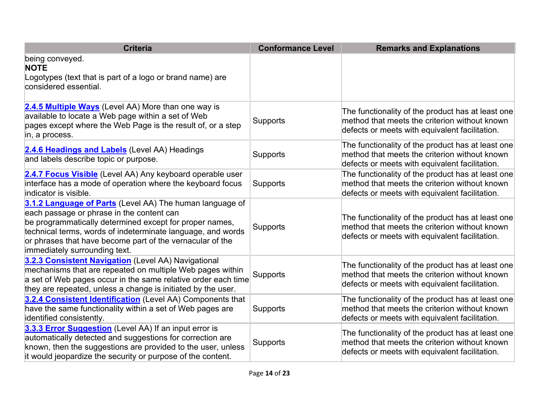| <b>Criteria</b>                                                                                                                                                                                                                                                                                                               | <b>Conformance Level</b> | <b>Remarks and Explanations</b>                                                                                                                      |
|-------------------------------------------------------------------------------------------------------------------------------------------------------------------------------------------------------------------------------------------------------------------------------------------------------------------------------|--------------------------|------------------------------------------------------------------------------------------------------------------------------------------------------|
| being conveyed.<br><b>NOTE</b>                                                                                                                                                                                                                                                                                                |                          |                                                                                                                                                      |
| Logotypes (text that is part of a logo or brand name) are<br>considered essential.                                                                                                                                                                                                                                            |                          |                                                                                                                                                      |
| 2.4.5 Multiple Ways (Level AA) More than one way is<br>available to locate a Web page within a set of Web<br>pages except where the Web Page is the result of, or a step<br>in, a process.                                                                                                                                    | <b>Supports</b>          | The functionality of the product has at least one<br>method that meets the criterion without known<br>defects or meets with equivalent facilitation. |
| 2.4.6 Headings and Labels (Level AA) Headings<br>and labels describe topic or purpose.                                                                                                                                                                                                                                        | Supports                 | The functionality of the product has at least one<br>method that meets the criterion without known<br>defects or meets with equivalent facilitation. |
| 2.4.7 Focus Visible (Level AA) Any keyboard operable user<br>interface has a mode of operation where the keyboard focus<br>indicator is visible.                                                                                                                                                                              | Supports                 | The functionality of the product has at least one<br>method that meets the criterion without known<br>defects or meets with equivalent facilitation. |
| 3.1.2 Language of Parts (Level AA) The human language of<br>each passage or phrase in the content can<br>be programmatically determined except for proper names,<br>technical terms, words of indeterminate language, and words<br>or phrases that have become part of the vernacular of the<br>immediately surrounding text. | Supports                 | The functionality of the product has at least one<br>method that meets the criterion without known<br>defects or meets with equivalent facilitation. |
| 3.2.3 Consistent Navigation (Level AA) Navigational<br>mechanisms that are repeated on multiple Web pages within<br>a set of Web pages occur in the same relative order each time<br>they are repeated, unless a change is initiated by the user.                                                                             | Supports                 | The functionality of the product has at least one<br>method that meets the criterion without known<br>defects or meets with equivalent facilitation. |
| 3.2.4 Consistent Identification (Level AA) Components that<br>have the same functionality within a set of Web pages are<br>identified consistently.                                                                                                                                                                           | Supports                 | The functionality of the product has at least one<br>method that meets the criterion without known<br>defects or meets with equivalent facilitation. |
| 3.3.3 Error Suggestion (Level AA) If an input error is<br>automatically detected and suggestions for correction are<br>known, then the suggestions are provided to the user, unless<br>it would jeopardize the security or purpose of the content.                                                                            | Supports                 | The functionality of the product has at least one<br>method that meets the criterion without known<br>defects or meets with equivalent facilitation. |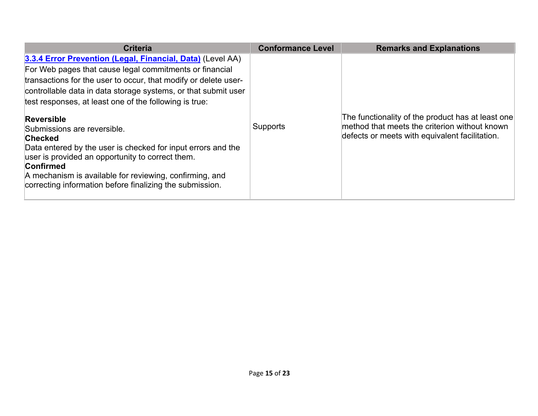| <b>Criteria</b>                                                                                                                                                                                                                                                                                                                                                                                                                                                                                                                                                                                                                                    | <b>Conformance Level</b> | <b>Remarks and Explanations</b>                                                                                                                      |
|----------------------------------------------------------------------------------------------------------------------------------------------------------------------------------------------------------------------------------------------------------------------------------------------------------------------------------------------------------------------------------------------------------------------------------------------------------------------------------------------------------------------------------------------------------------------------------------------------------------------------------------------------|--------------------------|------------------------------------------------------------------------------------------------------------------------------------------------------|
| 3.3.4 Error Prevention (Legal, Financial, Data) (Level AA)<br>For Web pages that cause legal commitments or financial<br>transactions for the user to occur, that modify or delete user-<br>controllable data in data storage systems, or that submit user<br>test responses, at least one of the following is true:<br><b>Reversible</b><br>Submissions are reversible.<br><b>Checked</b><br>Data entered by the user is checked for input errors and the<br>user is provided an opportunity to correct them.<br>Confirmed<br>A mechanism is available for reviewing, confirming, and<br>correcting information before finalizing the submission. | <b>Supports</b>          | The functionality of the product has at least one<br>method that meets the criterion without known<br>defects or meets with equivalent facilitation. |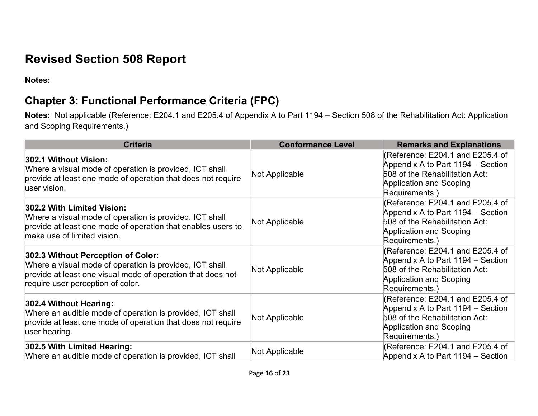# **Revised Section 508 Report**

**Notes:** 

## **Chapter 3: Functional Performance Criteria (FPC)**

 **Notes:** Not applicable (Reference: E204.1 and E205.4 of Appendix A to Part 1194 – Section 508 of the Rehabilitation Act: Application and Scoping Requirements.)

| <b>Criteria</b>                                                                                                                                                                                   | <b>Conformance Level</b> | <b>Remarks and Explanations</b>                                                                                                                             |
|---------------------------------------------------------------------------------------------------------------------------------------------------------------------------------------------------|--------------------------|-------------------------------------------------------------------------------------------------------------------------------------------------------------|
| 302.1 Without Vision:<br>Where a visual mode of operation is provided, ICT shall<br>provide at least one mode of operation that does not require<br>user vision.                                  | Not Applicable           | (Reference: E204.1 and E205.4 of<br>Appendix A to Part 1194 – Section<br>508 of the Rehabilitation Act:<br><b>Application and Scoping</b><br>Requirements.) |
| 302.2 With Limited Vision:<br>Where a visual mode of operation is provided, ICT shall<br>provide at least one mode of operation that enables users to<br>make use of limited vision.              | Not Applicable           | (Reference: E204.1 and E205.4 of<br>Appendix A to Part 1194 – Section<br>508 of the Rehabilitation Act:<br>Application and Scoping<br>Requirements.)        |
| 302.3 Without Perception of Color:<br>Where a visual mode of operation is provided, ICT shall<br>provide at least one visual mode of operation that does not<br>require user perception of color. | Not Applicable           | (Reference: E204.1 and E205.4 of<br>Appendix A to Part 1194 – Section<br>508 of the Rehabilitation Act:<br>Application and Scoping<br>Requirements.)        |
| 302.4 Without Hearing:<br>Where an audible mode of operation is provided, ICT shall<br>provide at least one mode of operation that does not require<br>user hearing.                              | Not Applicable           | (Reference: E204.1 and E205.4 of<br>Appendix A to Part 1194 – Section<br>508 of the Rehabilitation Act:<br>Application and Scoping<br>Requirements.)        |
| 302.5 With Limited Hearing:<br>Where an audible mode of operation is provided, ICT shall                                                                                                          | Not Applicable           | (Reference: E204.1 and E205.4 of<br>Appendix A to Part 1194 – Section                                                                                       |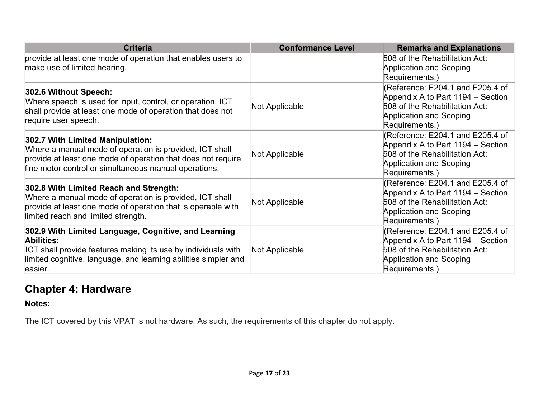| <b>Criteria</b>                                                                                                                                                                                                      | <b>Conformance Level</b> | <b>Remarks and Explanations</b>                                                                                                                             |
|----------------------------------------------------------------------------------------------------------------------------------------------------------------------------------------------------------------------|--------------------------|-------------------------------------------------------------------------------------------------------------------------------------------------------------|
| provide at least one mode of operation that enables users to<br>make use of limited hearing.                                                                                                                         |                          | 508 of the Rehabilitation Act:<br>Application and Scoping<br>Requirements.)                                                                                 |
| 302.6 Without Speech:<br>Where speech is used for input, control, or operation, ICT<br>shall provide at least one mode of operation that does not<br>require user speech.                                            | Not Applicable           | (Reference: E204.1 and E205.4 of<br>Appendix A to Part 1194 – Section<br>508 of the Rehabilitation Act:<br><b>Application and Scoping</b><br>Requirements.) |
| 302.7 With Limited Manipulation:<br>Where a manual mode of operation is provided, ICT shall<br>provide at least one mode of operation that does not require<br>fine motor control or simultaneous manual operations. | Not Applicable           | (Reference: E204.1 and E205.4 of<br>Appendix A to Part 1194 – Section<br>508 of the Rehabilitation Act:<br><b>Application and Scoping</b><br>Requirements.) |
| 302.8 With Limited Reach and Strength:<br>Where a manual mode of operation is provided, ICT shall<br>provide at least one mode of operation that is operable with<br>limited reach and limited strength.             | Not Applicable           | (Reference: E204.1 and E205.4 of<br>Appendix A to Part 1194 – Section<br>508 of the Rehabilitation Act:<br><b>Application and Scoping</b><br>Requirements.) |
| 302.9 With Limited Language, Cognitive, and Learning<br>Abilities:<br>ICT shall provide features making its use by individuals with<br>limited cognitive, language, and learning abilities simpler and<br>easier.    | Not Applicable           | (Reference: E204.1 and E205.4 of<br>Appendix A to Part 1194 – Section<br>508 of the Rehabilitation Act:<br><b>Application and Scoping</b><br>Requirements.) |

### **Chapter 4: Hardware**

 **Notes:** 

The ICT covered by this VPAT is not hardware. As such, the requirements of this chapter do not apply.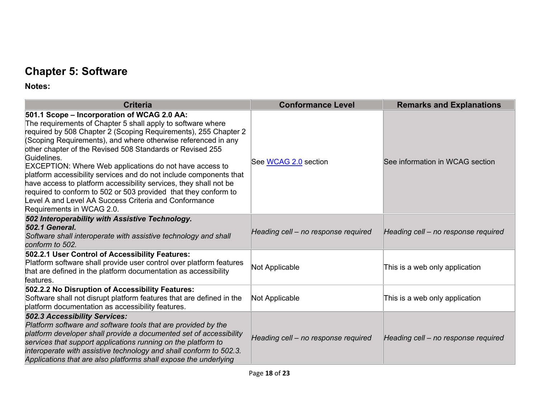## **Chapter 5: Software**

| <b>Criteria</b>                                                                                                                                                                                                                                                                                                                                                                                                                                                                                                                                                                                                                                                                                  | <b>Conformance Level</b>            | <b>Remarks and Explanations</b>     |
|--------------------------------------------------------------------------------------------------------------------------------------------------------------------------------------------------------------------------------------------------------------------------------------------------------------------------------------------------------------------------------------------------------------------------------------------------------------------------------------------------------------------------------------------------------------------------------------------------------------------------------------------------------------------------------------------------|-------------------------------------|-------------------------------------|
| 501.1 Scope – Incorporation of WCAG 2.0 AA:<br>The requirements of Chapter 5 shall apply to software where<br>required by 508 Chapter 2 (Scoping Requirements), 255 Chapter 2<br>(Scoping Requirements), and where otherwise referenced in any<br>other chapter of the Revised 508 Standards or Revised 255<br>Guidelines.<br><b>EXCEPTION: Where Web applications do not have access to</b><br>platform accessibility services and do not include components that<br>have access to platform accessibility services, they shall not be<br>required to conform to 502 or 503 provided that they conform to<br>Level A and Level AA Success Criteria and Conformance<br>Requirements in WCAG 2.0. | See WCAG 2.0 section                | See information in WCAG section     |
| 502 Interoperability with Assistive Technology.<br><b>502.1 General.</b><br>Software shall interoperate with assistive technology and shall<br>conform to 502.                                                                                                                                                                                                                                                                                                                                                                                                                                                                                                                                   | Heading cell - no response required | Heading cell - no response required |
| 502.2.1 User Control of Accessibility Features:<br>Platform software shall provide user control over platform features<br>that are defined in the platform documentation as accessibility<br>features.                                                                                                                                                                                                                                                                                                                                                                                                                                                                                           | Not Applicable                      | This is a web only application      |
| 502.2.2 No Disruption of Accessibility Features:<br>Software shall not disrupt platform features that are defined in the<br>platform documentation as accessibility features.                                                                                                                                                                                                                                                                                                                                                                                                                                                                                                                    | Not Applicable                      | This is a web only application      |
| <b>502.3 Accessibility Services:</b><br>Platform software and software tools that are provided by the<br>platform developer shall provide a documented set of accessibility<br>services that support applications running on the platform to<br>interoperate with assistive technology and shall conform to 502.3.<br>Applications that are also platforms shall expose the underlying                                                                                                                                                                                                                                                                                                           | Heading cell - no response required | Heading cell - no response required |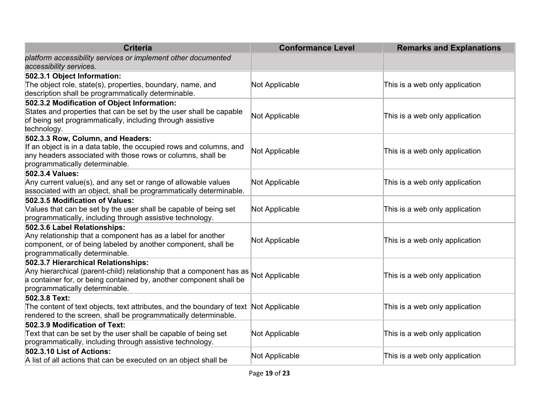| <b>Criteria</b>                                                                                                                                                                                                     | <b>Conformance Level</b> | <b>Remarks and Explanations</b> |
|---------------------------------------------------------------------------------------------------------------------------------------------------------------------------------------------------------------------|--------------------------|---------------------------------|
| platform accessibility services or implement other documented<br>accessibility services.                                                                                                                            |                          |                                 |
| 502.3.1 Object Information:<br>The object role, state(s), properties, boundary, name, and<br>description shall be programmatically determinable.                                                                    | Not Applicable           | This is a web only application  |
| 502.3.2 Modification of Object Information:<br>States and properties that can be set by the user shall be capable<br>of being set programmatically, including through assistive<br>technology.                      | Not Applicable           | This is a web only application  |
| 502.3.3 Row, Column, and Headers:<br>If an object is in a data table, the occupied rows and columns, and<br>any headers associated with those rows or columns, shall be<br>programmatically determinable.           | Not Applicable           | This is a web only application  |
| 502.3.4 Values:<br>Any current value(s), and any set or range of allowable values<br>associated with an object, shall be programmatically determinable.                                                             | Not Applicable           | This is a web only application  |
| 502.3.5 Modification of Values:<br>Values that can be set by the user shall be capable of being set<br>programmatically, including through assistive technology.                                                    | Not Applicable           | This is a web only application  |
| 502.3.6 Label Relationships:<br>Any relationship that a component has as a label for another<br>component, or of being labeled by another component, shall be<br>programmatically determinable.                     | Not Applicable           | This is a web only application  |
| 502.3.7 Hierarchical Relationships:<br>Any hierarchical (parent-child) relationship that a component has as<br>a container for, or being contained by, another component shall be<br>programmatically determinable. | Not Applicable           | This is a web only application  |
| 502.3.8 Text:<br>The content of text objects, text attributes, and the boundary of text<br>rendered to the screen, shall be programmatically determinable.                                                          | Not Applicable           | This is a web only application  |
| 502.3.9 Modification of Text:<br>Text that can be set by the user shall be capable of being set<br>programmatically, including through assistive technology.                                                        | Not Applicable           | This is a web only application  |
| 502.3.10 List of Actions:<br>A list of all actions that can be executed on an object shall be                                                                                                                       | Not Applicable           | This is a web only application  |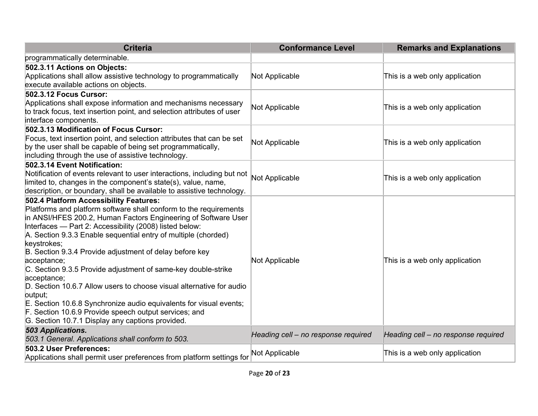| <b>Criteria</b>                                                                                                                                                                                                                                                                                                                                                                                                                                                                                                                                                                                                                                                                                                                                           | <b>Conformance Level</b>            | <b>Remarks and Explanations</b>     |
|-----------------------------------------------------------------------------------------------------------------------------------------------------------------------------------------------------------------------------------------------------------------------------------------------------------------------------------------------------------------------------------------------------------------------------------------------------------------------------------------------------------------------------------------------------------------------------------------------------------------------------------------------------------------------------------------------------------------------------------------------------------|-------------------------------------|-------------------------------------|
| programmatically determinable.                                                                                                                                                                                                                                                                                                                                                                                                                                                                                                                                                                                                                                                                                                                            |                                     |                                     |
| 502.3.11 Actions on Objects:<br>Applications shall allow assistive technology to programmatically<br>execute available actions on objects.                                                                                                                                                                                                                                                                                                                                                                                                                                                                                                                                                                                                                | Not Applicable                      | This is a web only application      |
| 502.3.12 Focus Cursor:<br>Applications shall expose information and mechanisms necessary<br>to track focus, text insertion point, and selection attributes of user<br>interface components.                                                                                                                                                                                                                                                                                                                                                                                                                                                                                                                                                               | Not Applicable                      | This is a web only application      |
| 502.3.13 Modification of Focus Cursor:<br>Focus, text insertion point, and selection attributes that can be set<br>by the user shall be capable of being set programmatically,<br>including through the use of assistive technology.                                                                                                                                                                                                                                                                                                                                                                                                                                                                                                                      | Not Applicable                      | This is a web only application      |
| 502.3.14 Event Notification:<br>Notification of events relevant to user interactions, including but not<br>limited to, changes in the component's state(s), value, name,<br>description, or boundary, shall be available to assistive technology.                                                                                                                                                                                                                                                                                                                                                                                                                                                                                                         | Not Applicable                      | This is a web only application      |
| 502.4 Platform Accessibility Features:<br>Platforms and platform software shall conform to the requirements<br>in ANSI/HFES 200.2, Human Factors Engineering of Software User<br>Interfaces - Part 2: Accessibility (2008) listed below:<br>A. Section 9.3.3 Enable sequential entry of multiple (chorded)<br>keystrokes;<br>B. Section 9.3.4 Provide adjustment of delay before key<br>acceptance;<br>C. Section 9.3.5 Provide adjustment of same-key double-strike<br>acceptance;<br>D. Section 10.6.7 Allow users to choose visual alternative for audio<br>putput;<br>E. Section 10.6.8 Synchronize audio equivalents for visual events;<br>F. Section 10.6.9 Provide speech output services; and<br>G. Section 10.7.1 Display any captions provided. | Not Applicable                      | This is a web only application      |
| 503 Applications.<br>503.1 General. Applications shall conform to 503.                                                                                                                                                                                                                                                                                                                                                                                                                                                                                                                                                                                                                                                                                    | Heading cell - no response required | Heading cell - no response required |
| 503.2 User Preferences:<br>Applications shall permit user preferences from platform settings for                                                                                                                                                                                                                                                                                                                                                                                                                                                                                                                                                                                                                                                          | Not Applicable                      | This is a web only application      |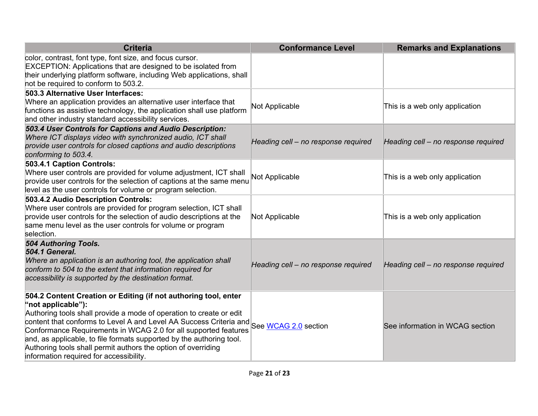| <b>Criteria</b>                                                                                                                                                                                                                                                                                                                                                                                                                                                                                                | <b>Conformance Level</b>            | <b>Remarks and Explanations</b>     |
|----------------------------------------------------------------------------------------------------------------------------------------------------------------------------------------------------------------------------------------------------------------------------------------------------------------------------------------------------------------------------------------------------------------------------------------------------------------------------------------------------------------|-------------------------------------|-------------------------------------|
| color, contrast, font type, font size, and focus cursor.<br>EXCEPTION: Applications that are designed to be isolated from<br>their underlying platform software, including Web applications, shall<br>not be required to conform to 503.2.                                                                                                                                                                                                                                                                     |                                     |                                     |
| 503.3 Alternative User Interfaces:<br>Where an application provides an alternative user interface that<br>functions as assistive technology, the application shall use platform<br>and other industry standard accessibility services.                                                                                                                                                                                                                                                                         | Not Applicable                      | This is a web only application      |
| 503.4 User Controls for Captions and Audio Description:<br>Where ICT displays video with synchronized audio, ICT shall<br>provide user controls for closed captions and audio descriptions<br>conforming to 503.4.                                                                                                                                                                                                                                                                                             | Heading cell - no response required | Heading cell - no response required |
| 503.4.1 Caption Controls:<br>Where user controls are provided for volume adjustment, ICT shall<br>provide user controls for the selection of captions at the same menu<br>level as the user controls for volume or program selection.                                                                                                                                                                                                                                                                          | <b>Not Applicable</b>               | This is a web only application      |
| 503.4.2 Audio Description Controls:<br>Where user controls are provided for program selection, ICT shall<br>provide user controls for the selection of audio descriptions at the<br>same menu level as the user controls for volume or program<br>selection.                                                                                                                                                                                                                                                   | Not Applicable                      | This is a web only application      |
| 504 Authoring Tools.<br><b>504.1 General.</b><br>Where an application is an authoring tool, the application shall<br>conform to 504 to the extent that information required for<br>accessibility is supported by the destination format.                                                                                                                                                                                                                                                                       | Heading cell - no response required | Heading cell - no response required |
| 504.2 Content Creation or Editing (if not authoring tool, enter<br>"not applicable"):<br>Authoring tools shall provide a mode of operation to create or edit<br>content that conforms to Level A and Level AA Success Criteria and See WCAG 2.0 section<br>Conformance Requirements in WCAG 2.0 for all supported features<br>and, as applicable, to file formats supported by the authoring tool.<br>Authoring tools shall permit authors the option of overriding<br>information required for accessibility. |                                     | See information in WCAG section     |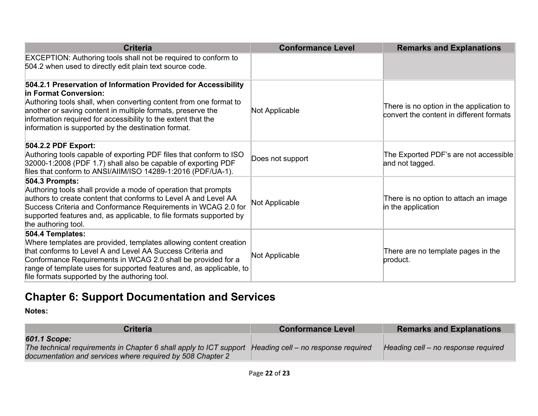| <b>Criteria</b>                                                                                                                                                                                                                                                                                                                                     | <b>Conformance Level</b> | <b>Remarks and Explanations</b>                                                      |
|-----------------------------------------------------------------------------------------------------------------------------------------------------------------------------------------------------------------------------------------------------------------------------------------------------------------------------------------------------|--------------------------|--------------------------------------------------------------------------------------|
| EXCEPTION: Authoring tools shall not be required to conform to<br>504.2 when used to directly edit plain text source code.                                                                                                                                                                                                                          |                          |                                                                                      |
| 504.2.1 Preservation of Information Provided for Accessibility<br>In Format Conversion:<br>Authoring tools shall, when converting content from one format to<br>another or saving content in multiple formats, preserve the<br>information required for accessibility to the extent that the<br>information is supported by the destination format. | Not Applicable           | There is no option in the application to<br>convert the content in different formats |
| 504.2.2 PDF Export:<br>Authoring tools capable of exporting PDF files that conform to ISO<br>32000-1:2008 (PDF 1.7) shall also be capable of exporting PDF<br>files that conform to ANSI/AIIM/ISO 14289-1:2016 (PDF/UA-1).                                                                                                                          | Does not support         | The Exported PDF's are not accessible<br>and not tagged.                             |
| 504.3 Prompts:<br>Authoring tools shall provide a mode of operation that prompts<br>authors to create content that conforms to Level A and Level AA<br>Success Criteria and Conformance Requirements in WCAG 2.0 for<br>supported features and, as applicable, to file formats supported by<br>the authoring tool.                                  | Not Applicable           | There is no option to attach an image<br>in the application                          |
| 504.4 Templates:<br>Where templates are provided, templates allowing content creation<br>that conforms to Level A and Level AA Success Criteria and<br>Conformance Requirements in WCAG 2.0 shall be provided for a<br>range of template uses for supported features and, as applicable, to<br>file formats supported by the authoring tool.        | Not Applicable           | There are no template pages in the<br>product.                                       |

# **Chapter 6: Support Documentation and Services**

| <b>Criteria</b>                                                                                                                                  | <b>Conformance Level</b>            | <b>Remarks and Explanations</b>     |
|--------------------------------------------------------------------------------------------------------------------------------------------------|-------------------------------------|-------------------------------------|
| 601.1 Scope:<br>The technical requirements in Chapter 6 shall apply to ICT support<br>documentation and services where required by 508 Chapter 2 | Heading cell - no response required | Heading cell – no response required |